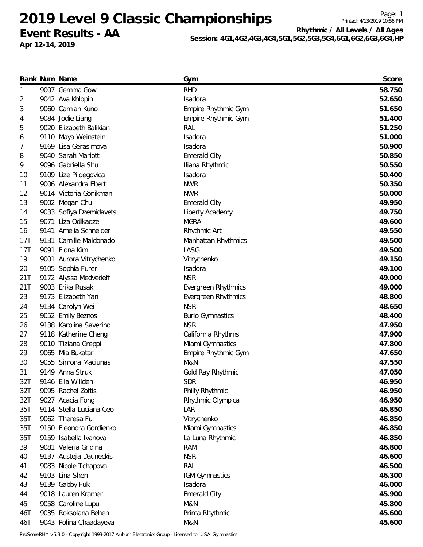# **Event Results - AA**

**Apr 12-14, 2019**

Printed: 4/13/2019 10:56 PM **Rhythmic / All Levels / All Ages**

Page: 1

**Session: 4G1,4G2,4G3,4G4,5G1,5G2,5G3,5G4,6G1,6G2,6G3,6G4,HP**

|     | Rank Num Name           | Gym                     | Score  |
|-----|-------------------------|-------------------------|--------|
| 1   | 9007 Gemma Gow          | <b>RHD</b>              | 58.750 |
| 2   | 9042 Ava Khlopin        | Isadora                 | 52.650 |
| 3   | 9060 Camiah Kuno        | Empire Rhythmic Gym     | 51.650 |
| 4   | 9084 Jodie Liang        | Empire Rhythmic Gym     | 51.400 |
| 5   | 9020 Elizabeth Balikian | <b>RAL</b>              | 51.250 |
| 6   | 9110 Maya Weinstein     | Isadora                 | 51.000 |
| 7   | 9169 Lisa Gerasimova    | Isadora                 | 50.900 |
| 8   | 9040 Sarah Mariotti     | <b>Emerald City</b>     | 50.850 |
| 9   | 9096 Gabriella Shu      | Iliana Rhythmic         | 50.550 |
| 10  | 9109 Lize Pildegovica   | Isadora                 | 50.400 |
| 11  | 9006 Alexandra Ebert    | <b>NWR</b>              | 50.350 |
| 12  | 9014 Victoria Gonikman  | <b>NWR</b>              | 50.000 |
| 13  | 9002 Megan Chu          | <b>Emerald City</b>     | 49.950 |
| 14  | 9033 Sofiya Dzemidavets | Liberty Academy         | 49.750 |
| 15  | 9071 Liza Odikadze      | <b>MGRA</b>             | 49.600 |
| 16  | 9141 Amelia Schneider   | Rhythmic Art            | 49.550 |
| 17T | 9131 Camille Maldonado  | Manhattan Rhythmics     | 49.500 |
| 17T | 9091 Fiona Kim          | LASG                    | 49.500 |
| 19  | 9001 Aurora Vitrychenko | Vitrychenko             | 49.150 |
| 20  | 9105 Sophia Furer       | Isadora                 | 49.100 |
| 21T | 9172 Alyssa Medvedeff   | <b>NSR</b>              | 49.000 |
| 21T | 9003 Erika Rusak        | Evergreen Rhythmics     | 49.000 |
| 23  | 9173 Elizabeth Yan      | Evergreen Rhythmics     | 48.800 |
| 24  | 9134 Carolyn Wei        | <b>NSR</b>              | 48.650 |
| 25  | 9052 Emily Beznos       | <b>Burlo Gymnastics</b> | 48.400 |
| 26  | 9138 Karolina Saverino  | <b>NSR</b>              | 47.950 |
| 27  | 9118 Katherine Cheng    | California Rhythms      | 47.900 |
| 28  | 9010 Tiziana Greppi     | Miami Gymnastics        | 47.800 |
| 29  | 9065 Mia Bukatar        | Empire Rhythmic Gym     | 47.650 |
| 30  | 9055 Simona Maciunas    | <b>M&amp;N</b>          | 47.550 |
| 31  | 9149 Anna Struk         | Gold Ray Rhythmic       | 47.050 |
| 32T | 9146 Ella Willden       | <b>SDR</b>              | 46.950 |
| 32T | 9095 Rachel Zoftis      | Philly Rhythmic         | 46.950 |
| 32T | 9027 Acacia Fong        | Rhythmic Olympica       | 46.950 |
| 35T | 9114 Stella-Luciana Ceo | LAR                     | 46.850 |
| 35T | 9062 Theresa Fu         | Vitrychenko             | 46.850 |
| 35T | 9150 Eleonora Gordienko | Miami Gymnastics        | 46.850 |
| 35T | 9159 Isabella Ivanova   | La Luna Rhythmic        | 46.850 |
| 39  | 9081 Valeria Gridina    | <b>RAM</b>              | 46.800 |
| 40  | 9137 Austeja Dauneckis  | <b>NSR</b>              | 46.600 |
| 41  | 9083 Nicole Tchapova    | RAL                     | 46.500 |
| 42  | 9103 Lina Shen          | <b>IGM Gymnastics</b>   | 46.300 |
| 43  | 9139 Gabby Fuki         | Isadora                 | 46.000 |
| 44  | 9018 Lauren Kramer      | <b>Emerald City</b>     | 45.900 |
| 45  | 9058 Caroline Lupul     | M&N                     | 45.800 |
| 46T | 9035 Roksolana Behen    | Prima Rhythmic          | 45.600 |
| 46T | 9043 Polina Chaadayeva  | M&N                     | 45.600 |
|     |                         |                         |        |

ProScoreRHY v5.3.0 - Copyright 1993-2017 Auburn Electronics Group - Licensed to: USA Gymnastics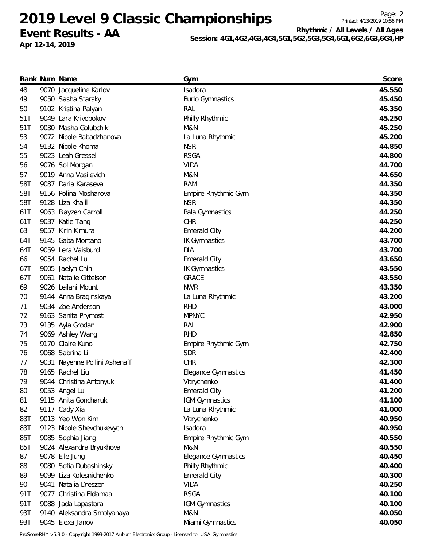# **Event Results - AA**

**Apr 12-14, 2019**

Page: 2 Printed: 4/13/2019 10:56 PM **Rhythmic / All Levels / All Ages**

**Session: 4G1,4G2,4G3,4G4,5G1,5G2,5G3,5G4,6G1,6G2,6G3,6G4,HP**

|     | Rank Num Name                  | Gym                        | Score  |
|-----|--------------------------------|----------------------------|--------|
| 48  | 9070 Jacqueline Karlov         | Isadora                    | 45.550 |
| 49  | 9050 Sasha Starsky             | <b>Burlo Gymnastics</b>    | 45.450 |
| 50  | 9102 Kristina Palyan           | RAL                        | 45.350 |
| 51T | 9049 Lara Krivobokov           | Philly Rhythmic            | 45.250 |
| 51T | 9030 Masha Golubchik           | M&N                        | 45.250 |
| 53  | 9072 Nicole Babadzhanova       | La Luna Rhythmic           | 45.200 |
| 54  | 9132 Nicole Khoma              | <b>NSR</b>                 | 44.850 |
| 55  | 9023 Leah Gressel              | <b>RSGA</b>                | 44.800 |
| 56  | 9076 Sol Morgan                | <b>VIDA</b>                | 44.700 |
| 57  | 9019 Anna Vasilevich           | M&N                        | 44.650 |
| 58T | 9087 Daria Karaseva            | <b>RAM</b>                 | 44.350 |
| 58T | 9156 Polina Mosharova          | Empire Rhythmic Gym        | 44.350 |
| 58T | 9128 Liza Khalil               | <b>NSR</b>                 | 44.350 |
| 61T | 9063 Blayzen Carroll           | <b>Bala Gymnastics</b>     | 44.250 |
| 61T | 9037 Katie Tang                | <b>CHR</b>                 | 44.250 |
| 63  | 9057 Kirin Kimura              | <b>Emerald City</b>        | 44.200 |
| 64T | 9145 Gaba Montano              | <b>IK Gymnastics</b>       | 43.700 |
| 64T | 9059 Lera Vaisburd             | <b>DIA</b>                 | 43.700 |
| 66  | 9054 Rachel Lu                 | <b>Emerald City</b>        | 43.650 |
| 67T | 9005 Jaelyn Chin               | <b>IK Gymnastics</b>       | 43.550 |
| 67T | 9061 Natalie Gittelson         | <b>GRACE</b>               | 43.550 |
| 69  | 9026 Leilani Mount             | <b>NWR</b>                 | 43.350 |
| 70  | 9144 Anna Braginskaya          | La Luna Rhythmic           | 43.200 |
| 71  | 9034 Zoe Anderson              | <b>RHD</b>                 | 43.000 |
| 72  | 9163 Sanita Prymost            | <b>MPNYC</b>               | 42.950 |
| 73  | 9135 Ayla Grodan               | RAL                        | 42.900 |
| 74  | 9069 Ashley Wang               | <b>RHD</b>                 | 42.850 |
| 75  | 9170 Claire Kuno               | Empire Rhythmic Gym        | 42.750 |
| 76  | 9068 Sabrina Li                | <b>SDR</b>                 | 42.400 |
| 77  | 9031 Nayenne Pollini Ashenaffi | <b>CHR</b>                 | 42.300 |
| 78  | 9165 Rachel Liu                | <b>Elegance Gymnastics</b> | 41.450 |
| 79  | 9044 Christina Antonyuk        | Vitrychenko                | 41.400 |
| 80  | 9053 Angel Lu                  | <b>Emerald City</b>        | 41.200 |
| 81  | 9115 Anita Goncharuk           | <b>IGM Gymnastics</b>      | 41.100 |
| 82  | 9117 Cady Xia                  | La Luna Rhythmic           | 41.000 |
| 83T | 9013 Yeo Won Kim               | Vitrychenko                | 40.950 |
| 83T | 9123 Nicole Shevchukevych      | Isadora                    | 40.950 |
| 85T | 9085 Sophia Jiang              | Empire Rhythmic Gym        | 40.550 |
| 85T | 9024 Alexandra Bryukhova       | M&N                        | 40.550 |
| 87  | 9078 Elle Jung                 | <b>Elegance Gymnastics</b> | 40.450 |
| 88  | 9080 Sofia Dubashinsky         | Philly Rhythmic            | 40.400 |
| 89  | 9099 Liza Kolesnichenko        | <b>Emerald City</b>        | 40.300 |
| 90  | 9041 Natalia Dreszer           | <b>VIDA</b>                | 40.250 |
| 91T | 9077 Christina Eldamaa         | <b>RSGA</b>                | 40.100 |
| 91T | 9088 Jada Lapastora            | <b>IGM Gymnastics</b>      | 40.100 |
| 93T | 9140 Aleksandra Smolyanaya     | M&N                        | 40.050 |
| 93T | 9045 Elexa Janov               | Miami Gymnastics           | 40.050 |

ProScoreRHY v5.3.0 - Copyright 1993-2017 Auburn Electronics Group - Licensed to: USA Gymnastics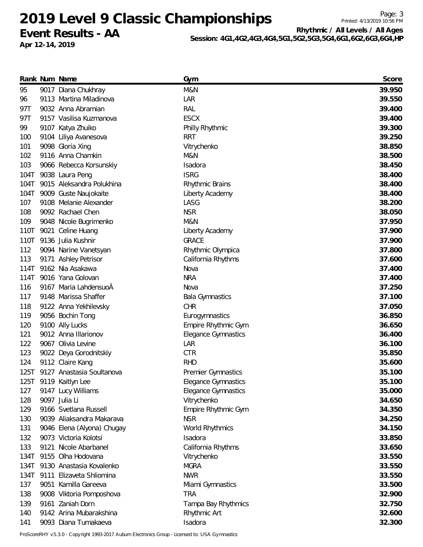**Event Results - AA**

**Apr 12-14, 2019**

Printed: 4/13/2019 10:56 PM **Rhythmic / All Levels / All Ages**

Page: 3

**Session: 4G1,4G2,4G3,4G4,5G1,5G2,5G3,5G4,6G1,6G2,6G3,6G4,HP**

|      | Rank Num Name              | Gym                        | Score  |
|------|----------------------------|----------------------------|--------|
| 95   | 9017 Diana Chukhray        | M&N                        | 39.950 |
| 96   | 9113 Martina Miladinova    | LAR                        | 39.550 |
| 97T  | 9032 Anna Abramian         | RAL                        | 39.400 |
| 97T  | 9157 Vasilisa Kuzmanova    | <b>ESCX</b>                | 39.400 |
| 99   | 9107 Katya Zhuiko          | Philly Rhythmic            | 39.300 |
| 100  | 9104 Liliya Avanesova      | <b>RRT</b>                 | 39.250 |
| 101  | 9098 Gloria Xing           | Vitrychenko                | 38.850 |
| 102  | 9116 Anna Chamkin          | M&N                        | 38.500 |
| 103  | 9066 Rebecca Korsunskiy    | Isadora                    | 38.450 |
| 104T | 9038 Laura Peng            | <b>ISRG</b>                | 38.400 |
| 104T | 9015 Aleksandra Polukhina  | Rhythmic Brains            | 38.400 |
| 104T | 9009 Guste Naujokaite      | Liberty Academy            | 38.400 |
| 107  | 9108 Melanie Alexander     | LASG                       | 38.200 |
| 108  | 9092 Rachael Chen          | <b>NSR</b>                 | 38.050 |
| 109  | 9048 Nicole Bugrimenko     | M&N                        | 37.950 |
| 110T | 9021 Celine Huang          | Liberty Academy            | 37.900 |
| 110T | 9136 Julia Kushnir         | <b>GRACE</b>               | 37.900 |
| 112  | 9094 Narine Vanetsyan      | Rhythmic Olympica          | 37.800 |
| 113  | 9171 Ashley Petrisor       | California Rhythms         | 37.600 |
| 114T | 9162 Nia Asakawa           | Nova                       | 37.400 |
| 114T | 9016 Yana Golovan          | <b>NRA</b>                 | 37.400 |
| 116  | 9167 Maria LahdensuoÂ      | Nova                       | 37.250 |
| 117  | 9148 Marissa Shaffer       | <b>Bala Gymnastics</b>     | 37.100 |
| 118  | 9122 Anna Yekhilevsky      | <b>CHR</b>                 | 37.050 |
| 119  | 9056 Bochin Tong           | Eurogymnastics             | 36.850 |
| 120  | 9100 Ally Lucks            | Empire Rhythmic Gym        | 36.650 |
| 121  | 9012 Anna Illarionov       | <b>Elegance Gymnastics</b> | 36.400 |
| 122  | 9067 Olivia Levine         | LAR                        | 36.100 |
| 123  | 9022 Deya Gorodnitskiy     | <b>CTR</b>                 | 35.850 |
| 124  | 9112 Claire Kang           | <b>RHD</b>                 | 35.600 |
| 125T | 9127 Anastasia Soultanova  | Premier Gymnastics         | 35.100 |
|      | 125T 9119 Kaitlyn Lee      | Elegance Gymnastics        | 35.100 |
| 127  | 9147 Lucy Williams         | <b>Elegance Gymnastics</b> | 35.000 |
| 128  | 9097 Julia Li              | Vitrychenko                | 34.650 |
| 129  | 9166 Svetlana Russell      | Empire Rhythmic Gym        | 34.350 |
| 130  | 9039 Aliaksandra Makarava  | <b>NSR</b>                 | 34.250 |
| 131  | 9046 Elena (Alyona) Chugay | World Rhythmics            | 34.150 |
| 132  | 9073 Victoria Kolotsi      | Isadora                    | 33.850 |
| 133  | 9121 Nicole Abarbanel      | California Rhythms         | 33.650 |
| 134T | 9155 Olha Hodovana         | Vitrychenko                | 33.550 |
| 134T | 9130 Anastasia Kovalenko   | <b>MGRA</b>                | 33.550 |
| 134T | 9111 Elizaveta Shliomina   | <b>NWR</b>                 | 33.550 |
| 137  | 9051 Kamilla Gareeva       | Miami Gymnastics           | 33.500 |
| 138  | 9008 Viktoria Pomposhova   | <b>TRA</b>                 | 32.900 |
| 139  | 9161 Zaniah Dorn           | Tampa Bay Rhythmics        | 32.750 |
| 140  | 9142 Arina Mubarakshina    | Rhythmic Art               | 32.600 |
| 141  | 9093 Diana Tumakaeva       | Isadora                    | 32.300 |
|      |                            |                            |        |

ProScoreRHY v5.3.0 - Copyright 1993-2017 Auburn Electronics Group - Licensed to: USA Gymnastics